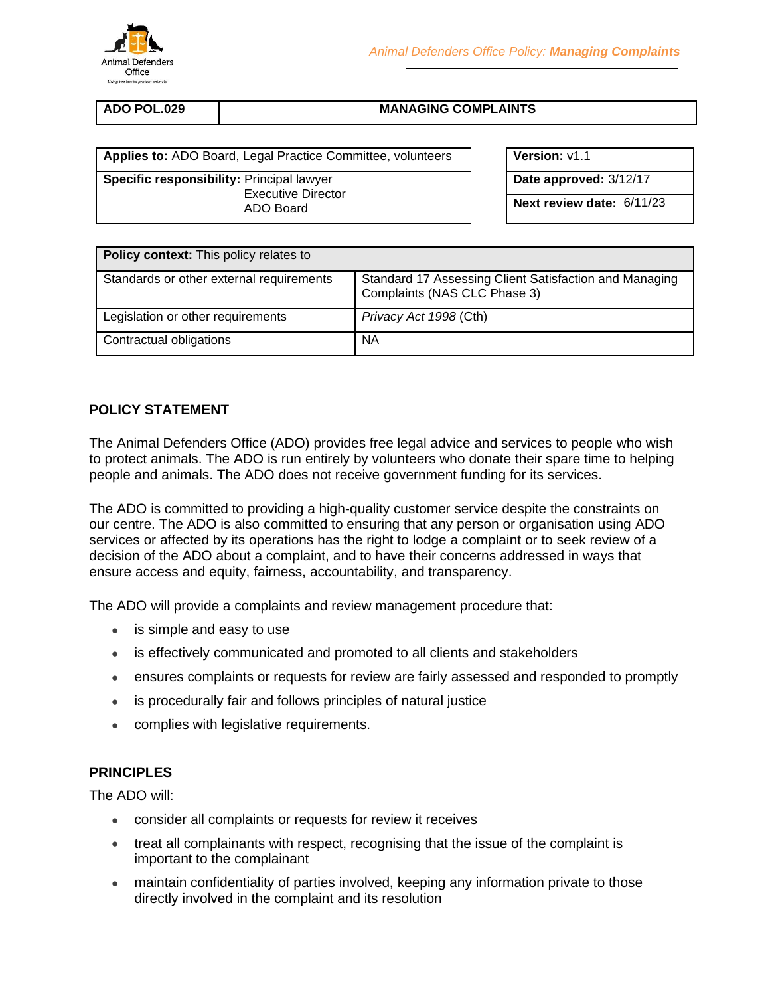

| ADO POL.029 |  |
|-------------|--|
|             |  |

**MANAGING COMPLAINTS** 

**Applies to:** ADO Board, Legal Practice Committee, volunteers **Value Version:**  $v1.1$ 

**Specific responsibility:** Principal lawyer Executive Director ADO Board

**Date approved:** 3/12/17

**Next review date:** 6/11/23

| <b>Policy context:</b> This policy relates to |                                                                                        |  |
|-----------------------------------------------|----------------------------------------------------------------------------------------|--|
| Standards or other external requirements      | Standard 17 Assessing Client Satisfaction and Managing<br>Complaints (NAS CLC Phase 3) |  |
| Legislation or other requirements             | Privacy Act 1998 (Cth)                                                                 |  |
| Contractual obligations                       | ΝA                                                                                     |  |

# **POLICY STATEMENT**

The Animal Defenders Office (ADO) provides free legal advice and services to people who wish to protect animals. The ADO is run entirely by volunteers who donate their spare time to helping people and animals. The ADO does not receive government funding for its services.

The ADO is committed to providing a high-quality customer service despite the constraints on our centre. The ADO is also committed to ensuring that any person or organisation using ADO services or affected by its operations has the right to lodge a complaint or to seek review of a decision of the ADO about a complaint, and to have their concerns addressed in ways that ensure access and equity, fairness, accountability, and transparency.

The ADO will provide a complaints and review management procedure that:

- is simple and easy to use
- is effectively communicated and promoted to all clients and stakeholders
- ensures complaints or requests for review are fairly assessed and responded to promptly
- is procedurally fair and follows principles of natural justice
- complies with legislative requirements.

### **PRINCIPLES**

The ADO will:

- consider all complaints or requests for review it receives
- treat all complainants with respect, recognising that the issue of the complaint is important to the complainant
- maintain confidentiality of parties involved, keeping any information private to those directly involved in the complaint and its resolution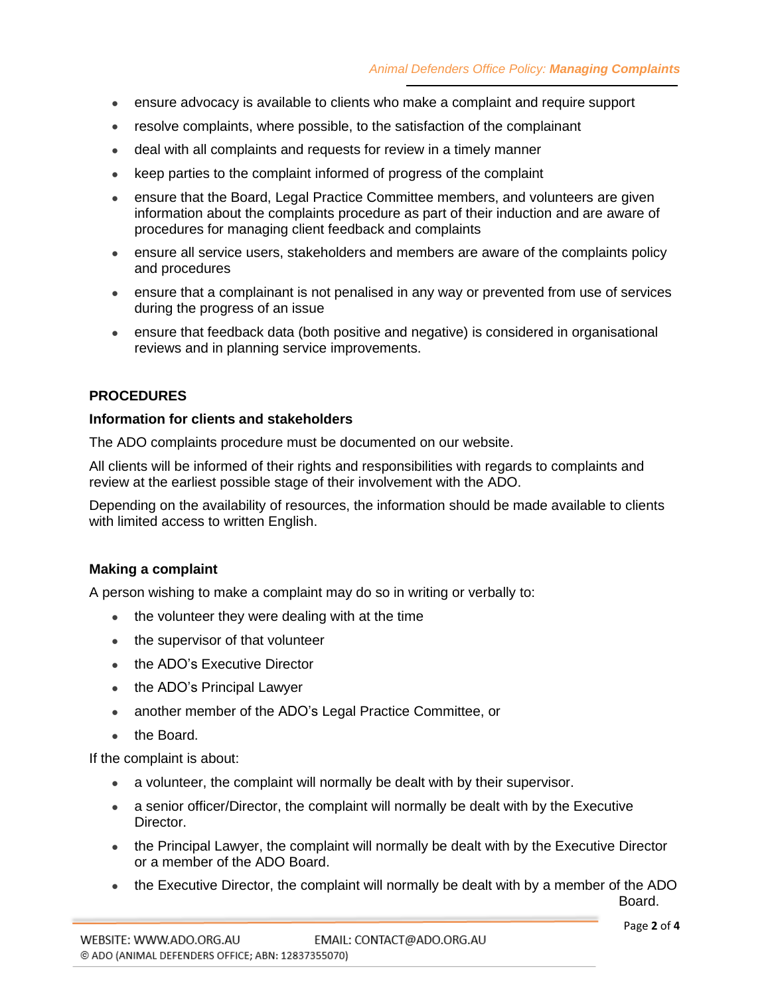- ensure advocacy is available to clients who make a complaint and require support
- resolve complaints, where possible, to the satisfaction of the complainant
- deal with all complaints and requests for review in a timely manner
- keep parties to the complaint informed of progress of the complaint
- ensure that the Board, Legal Practice Committee members, and volunteers are given information about the complaints procedure as part of their induction and are aware of procedures for managing client feedback and complaints
- ensure all service users, stakeholders and members are aware of the complaints policy and procedures
- ensure that a complainant is not penalised in any way or prevented from use of services during the progress of an issue
- ensure that feedback data (both positive and negative) is considered in organisational reviews and in planning service improvements.

## **PROCEDURES**

#### **Information for clients and stakeholders**

The ADO complaints procedure must be documented on our website.

All clients will be informed of their rights and responsibilities with regards to complaints and review at the earliest possible stage of their involvement with the ADO.

Depending on the availability of resources, the information should be made available to clients with limited access to written English.

### **Making a complaint**

A person wishing to make a complaint may do so in writing or verbally to:

- the volunteer they were dealing with at the time
- the supervisor of that volunteer
- the ADO's Executive Director
- the ADO's Principal Lawyer
- another member of the ADO's Legal Practice Committee, or
- the Board.

If the complaint is about:

- a volunteer, the complaint will normally be dealt with by their supervisor.
- a senior officer/Director, the complaint will normally be dealt with by the Executive Director.
- the Principal Lawyer, the complaint will normally be dealt with by the Executive Director or a member of the ADO Board.
- the Executive Director, the complaint will normally be dealt with by a member of the ADO

Board.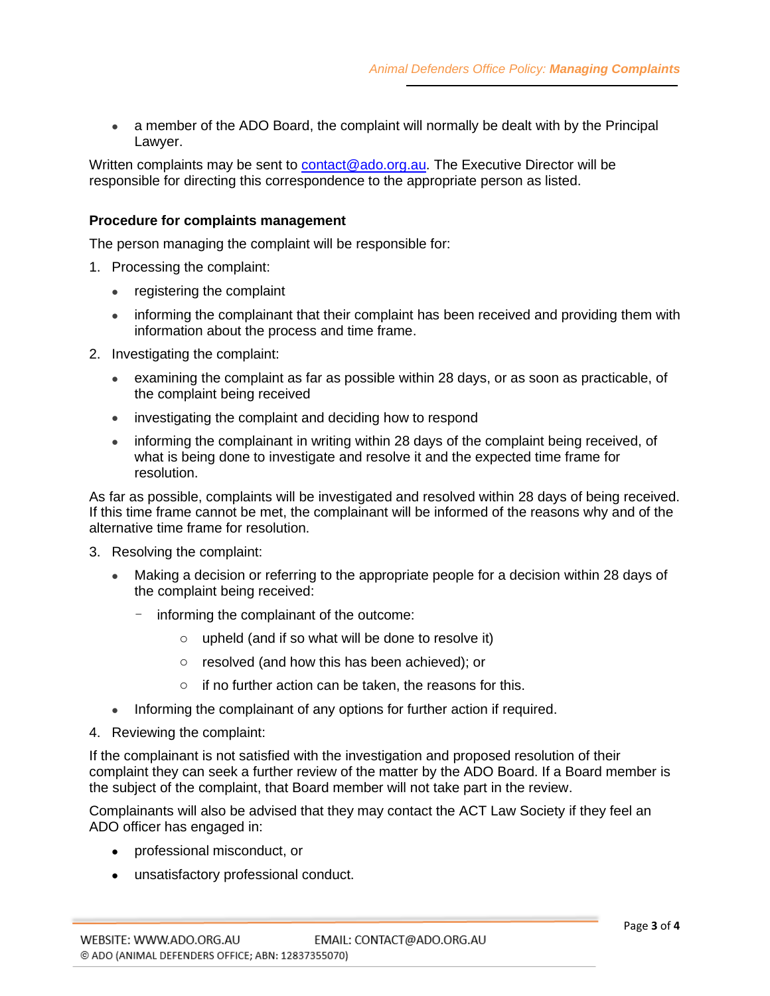• a member of the ADO Board, the complaint will normally be dealt with by the Principal Lawyer.

Written complaints may be sent to [contact@ado.org.au.](mailto:contact@ado.org.au) The Executive Director will be responsible for directing this correspondence to the appropriate person as listed.

### **Procedure for complaints management**

The person managing the complaint will be responsible for:

- 1. Processing the complaint:
	- registering the complaint
	- informing the complainant that their complaint has been received and providing them with information about the process and time frame.
- 2. Investigating the complaint:
	- examining the complaint as far as possible within 28 days, or as soon as practicable, of the complaint being received
	- investigating the complaint and deciding how to respond
	- informing the complainant in writing within 28 days of the complaint being received, of what is being done to investigate and resolve it and the expected time frame for resolution.

As far as possible, complaints will be investigated and resolved within 28 days of being received. If this time frame cannot be met, the complainant will be informed of the reasons why and of the alternative time frame for resolution.

- 3. Resolving the complaint:
	- Making a decision or referring to the appropriate people for a decision within 28 days of the complaint being received:
		- informing the complainant of the outcome:
			- o upheld (and if so what will be done to resolve it)
			- o resolved (and how this has been achieved); or
			- o if no further action can be taken, the reasons for this.
	- Informing the complainant of any options for further action if required.
- 4. Reviewing the complaint:

If the complainant is not satisfied with the investigation and proposed resolution of their complaint they can seek a further review of the matter by the ADO Board. If a Board member is the subject of the complaint, that Board member will not take part in the review.

Complainants will also be advised that they may contact the ACT Law Society if they feel an ADO officer has engaged in:

- professional misconduct, or
- unsatisfactory professional conduct.